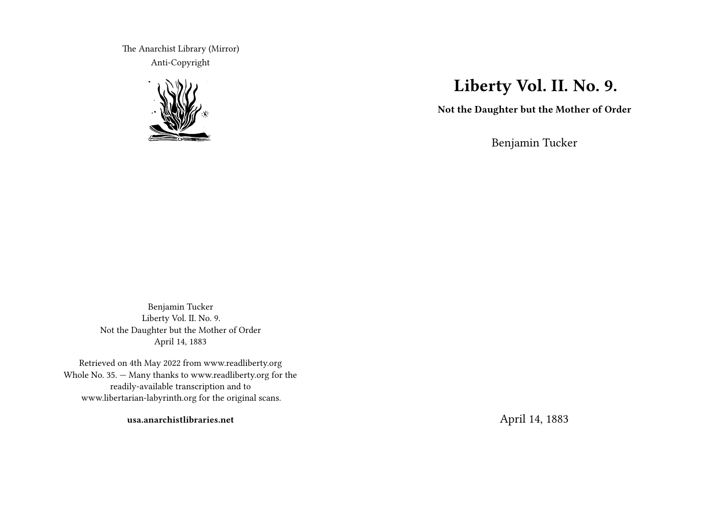The Anarchist Library (Mirror) Anti-Copyright



# **Liberty Vol. II. No. 9.**

**Not the Daughter but the Mother of Order**

Benjamin Tucker

Benjamin Tucker Liberty Vol. II. No. 9. Not the Daughter but the Mother of Order April 14, 1883

Retrieved on 4th May 2022 from www.readliberty.org Whole No. 35. — Many thanks to www.readliberty.org for the readily-available transcription and to www.libertarian-labyrinth.org for the original scans.

**usa.anarchistlibraries.net**

April 14, 1883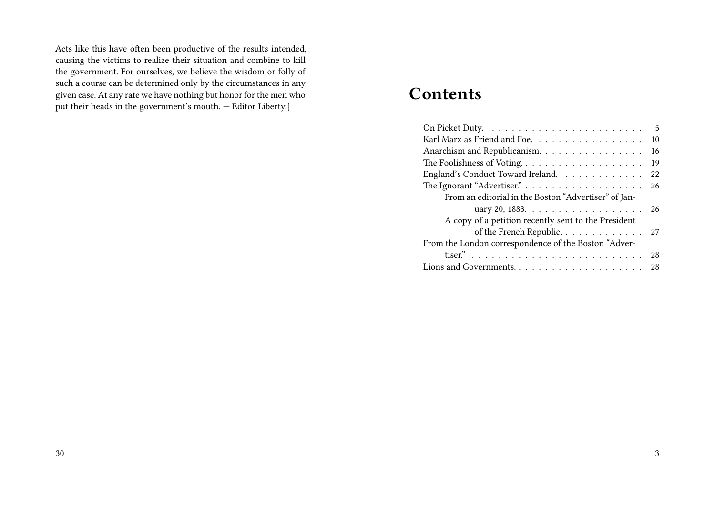Acts like this have often been productive of the results intended, causing the victims to realize their situation and combine to kill the government. For ourselves, we believe the wisdom or folly of such a course can be determined only by the circumstances in any given case. At any rate we have nothing but honor for the men who put their heads in the government's mouth. — Editor Liberty.]

# **Contents**

|                                                                                 | 5   |
|---------------------------------------------------------------------------------|-----|
| Karl Marx as Friend and Foe.                                                    | 10  |
| Anarchism and Republicanism.                                                    | 16  |
|                                                                                 | 19  |
| England's Conduct Toward Ireland.                                               | 22  |
|                                                                                 | 26  |
| From an editorial in the Boston "Advertiser" of Jan-                            |     |
|                                                                                 | 26  |
| A copy of a petition recently sent to the President                             |     |
| of the French Republic. 27                                                      |     |
| From the London correspondence of the Boston "Adver-                            |     |
| tiser." $\ldots \ldots \ldots \ldots \ldots \ldots \ldots \ldots \ldots \ldots$ | 28  |
|                                                                                 | -28 |
|                                                                                 |     |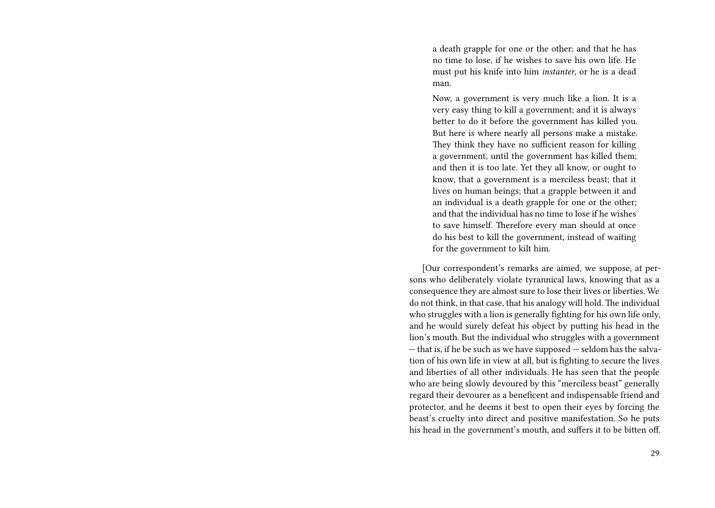a death grapple for one or the other; and that he has no time to lose, if he wishes to save his own life. He must put his knife into him *instanter*, or he is a dead man.

Now, a government is very much like a lion. It is a very easy thing to kill a government; and it is always better to do it before the government has killed you. But here is where nearly all persons make a mistake. They think they have no sufficient reason for killing a government, until the government has killed them; and then it is too late. Yet they all know, or ought to know, that a government is a merciless beast; that it lives on human beings; that a grapple between it and an individual is a death grapple for one or the other; and that the individual has no time to lose if he wishes to save himself. Therefore every man should at once do his best to kill the government, instead of waiting for the government to kilt him.

[Our correspondent's remarks are aimed, we suppose, at persons who deliberately violate tyrannical laws, knowing that as a consequence they are almost sure to lose their lives or liberties. We do not think, in that case, that his analogy will hold. The individual who struggles with a lion is generally fighting for his own life only, and he would surely defeat his object by putting his head in the lion's mouth. But the individual who struggles with a government — that is, if he be such as we have supposed — seldom has the salvation of his own life in view at all, but is fighting to secure the lives and liberties of all other individuals. He has seen that the people who are being slowly devoured by this "merciless beast" generally regard their devourer as a beneficent and indispensable friend and protector, and he deems it best to open their eyes by forcing the beast's cruelty into direct and positive manifestation. So he puts his head in the government's mouth, and suffers it to be bitten off.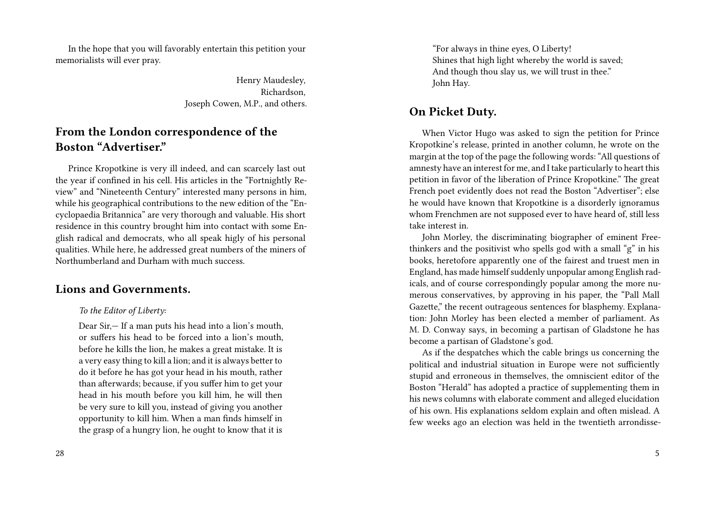In the hope that you will favorably entertain this petition your memorialists will ever pray.

> Henry Maudesley, Richardson, Joseph Cowen, M.P., and others.

# **From the London correspondence of the Boston "Advertiser."**

Prince Kropotkine is very ill indeed, and can scarcely last out the year if confined in his cell. His articles in the "Fortnightly Review" and "Nineteenth Century" interested many persons in him, while his geographical contributions to the new edition of the "Encyclopaedia Britannica" are very thorough and valuable. His short residence in this country brought him into contact with some English radical and democrats, who all speak higly of his personal qualities. While here, he addressed great numbers of the miners of Northumberland and Durham with much success.

# **Lions and Governments.**

### *To the Editor of Liberty:*

Dear Sir,— If a man puts his head into a lion's mouth, or suffers his head to be forced into a lion's mouth, before he kills the lion, he makes a great mistake. It is a very easy thing to kill a lion; and it is always better to do it before he has got your head in his mouth, rather than afterwards; because, if you suffer him to get your head in his mouth before you kill him, he will then be very sure to kill you, instead of giving you another opportunity to kill him. When a man finds himself in the grasp of a hungry lion, he ought to know that it is

"For always in thine eyes, O Liberty! Shines that high light whereby the world is saved; And though thou slay us, we will trust in thee." John Hay.

# **On Picket Duty.**

When Victor Hugo was asked to sign the petition for Prince Kropotkine's release, printed in another column, he wrote on the margin at the top of the page the following words: "All questions of amnesty have an interest for me, and I take particularly to heart this petition in favor of the liberation of Prince Kropotkine." The great French poet evidently does not read the Boston "Advertiser"; else he would have known that Kropotkine is a disorderly ignoramus whom Frenchmen are not supposed ever to have heard of, still less take interest in.

John Morley, the discriminating biographer of eminent Freethinkers and the positivist who spells god with a small "g" in his books, heretofore apparently one of the fairest and truest men in England, has made himself suddenly unpopular among English radicals, and of course correspondingly popular among the more numerous conservatives, by approving in his paper, the "Pall Mall Gazette," the recent outrageous sentences for blasphemy. Explanation: John Morley has been elected a member of parliament. As M. D. Conway says, in becoming a partisan of Gladstone he has become a partisan of Gladstone's god.

As if the despatches which the cable brings us concerning the political and industrial situation in Europe were not sufficiently stupid and erroneous in themselves, the omniscient editor of the Boston "Herald" has adopted a practice of supplementing them in his news columns with elaborate comment and alleged elucidation of his own. His explanations seldom explain and often mislead. A few weeks ago an election was held in the twentieth arrondisse-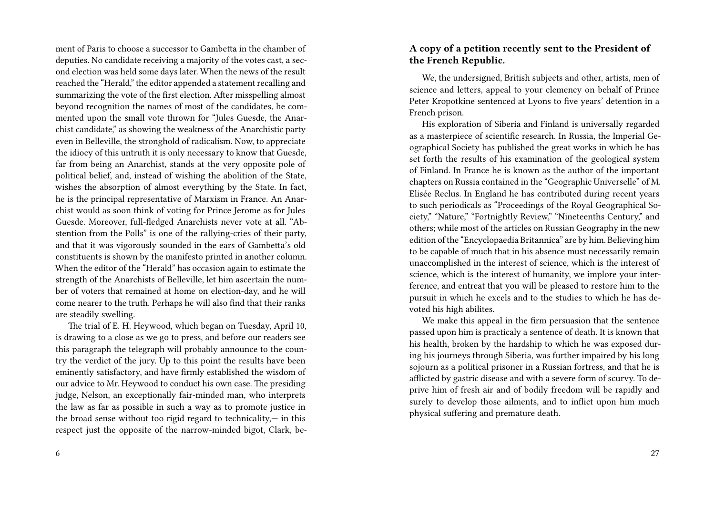ment of Paris to choose a successor to Gambetta in the chamber of deputies. No candidate receiving a majority of the votes cast, a second election was held some days later. When the news of the result reached the "Herald," the editor appended a statement recalling and summarizing the vote of the first election. After misspelling almost beyond recognition the names of most of the candidates, he commented upon the small vote thrown for "Jules Guesde, the Anarchist candidate," as showing the weakness of the Anarchistic party even in Belleville, the stronghold of radicalism. Now, to appreciate the idiocy of this untruth it is only necessary to know that Guesde, far from being an Anarchist, stands at the very opposite pole of political belief, and, instead of wishing the abolition of the State, wishes the absorption of almost everything by the State. In fact, he is the principal representative of Marxism in France. An Anarchist would as soon think of voting for Prince Jerome as for Jules Guesde. Moreover, full-fledged Anarchists never vote at all. "Abstention from the Polls" is one of the rallying-cries of their party, and that it was vigorously sounded in the ears of Gambetta's old constituents is shown by the manifesto printed in another column. When the editor of the "Herald" has occasion again to estimate the strength of the Anarchists of Belleville, let him ascertain the number of voters that remained at home on election-day, and he will come nearer to the truth. Perhaps he will also find that their ranks are steadily swelling.

The trial of E. H. Heywood, which began on Tuesday, April 10, is drawing to a close as we go to press, and before our readers see this paragraph the telegraph will probably announce to the country the verdict of the jury. Up to this point the results have been eminently satisfactory, and have firmly established the wisdom of our advice to Mr. Heywood to conduct his own case. The presiding judge, Nelson, an exceptionally fair-minded man, who interprets the law as far as possible in such a way as to promote justice in the broad sense without too rigid regard to technicality,— in this respect just the opposite of the narrow-minded bigot, Clark, be-

#### 6

## **A copy of a petition recently sent to the President of the French Republic.**

We, the undersigned, British subjects and other, artists, men of science and letters, appeal to your clemency on behalf of Prince Peter Kropotkine sentenced at Lyons to five years' detention in a French prison.

His exploration of Siberia and Finland is universally regarded as a masterpiece of scientific research. In Russia, the Imperial Geographical Society has published the great works in which he has set forth the results of his examination of the geological system of Finland. In France he is known as the author of the important chapters on Russia contained in the "Geographic Universelle" of M. Elisée Reclus. In England he has contributed during recent years to such periodicals as "Proceedings of the Royal Geographical Society," "Nature," "Fortnightly Review," "Nineteenths Century," and others; while most of the articles on Russian Geography in the new edition of the "Encyclopaedia Britannica" are by him. Believing him to be capable of much that in his absence must necessarily remain unaccomplished in the interest of science, which is the interest of science, which is the interest of humanity, we implore your interference, and entreat that you will be pleased to restore him to the pursuit in which he excels and to the studies to which he has devoted his high abilites.

We make this appeal in the firm persuasion that the sentence passed upon him is practicaly a sentence of death. It is known that his health, broken by the hardship to which he was exposed during his journeys through Siberia, was further impaired by his long sojourn as a political prisoner in a Russian fortress, and that he is afflicted by gastric disease and with a severe form of scurvy. To deprive him of fresh air and of bodily freedom will be rapidly and surely to develop those ailments, and to inflict upon him much physical suffering and premature death.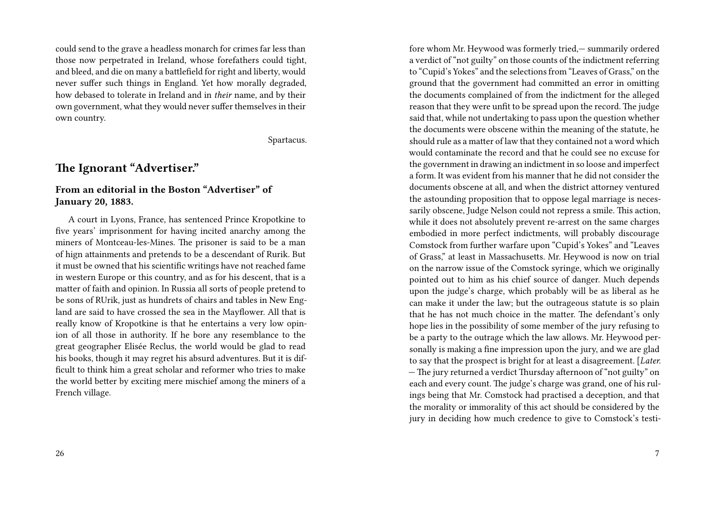could send to the grave a headless monarch for crimes far less than those now perpetrated in Ireland, whose forefathers could tight, and bleed, and die on many a battlefield for right and liberty, would never suffer such things in England. Yet how morally degraded, how debased to tolerate in Ireland and in *their* name, and by their own government, what they would never suffer themselves in their own country.

Spartacus.

# **The Ignorant "Advertiser."**

## **From an editorial in the Boston "Advertiser" of January 20, 1883.**

A court in Lyons, France, has sentenced Prince Kropotkine to five years' imprisonment for having incited anarchy among the miners of Montceau-les-Mines. The prisoner is said to be a man of hign attainments and pretends to be a descendant of Rurik. But it must be owned that his scientific writings have not reached fame in western Europe or this country, and as for his descent, that is a matter of faith and opinion. In Russia all sorts of people pretend to be sons of RUrik, just as hundrets of chairs and tables in New England are said to have crossed the sea in the Mayflower. All that is really know of Kropotkine is that he entertains a very low opinion of all those in authority. If he bore any resemblance to the great geographer Elisée Reclus, the world would be glad to read his books, though it may regret his absurd adventures. But it is difficult to think him a great scholar and reformer who tries to make the world better by exciting mere mischief among the miners of a French village.

fore whom Mr. Heywood was formerly tried,— summarily ordered a verdict of "not guilty" on those counts of the indictment referring to "Cupid's Yokes" and the selections from "Leaves of Grass," on the ground that the government had committed an error in omitting the documents complained of from the indictment for the alleged reason that they were unfit to be spread upon the record. The judge said that, while not undertaking to pass upon the question whether the documents were obscene within the meaning of the statute, he should rule as a matter of law that they contained not a word which would contaminate the record and that he could see no excuse for the government in drawing an indictment in so loose and imperfect a form. It was evident from his manner that he did not consider the documents obscene at all, and when the district attorney ventured the astounding proposition that to oppose legal marriage is necessarily obscene, Judge Nelson could not repress a smile. This action, while it does not absolutely prevent re-arrest on the same charges embodied in more perfect indictments, will probably discourage Comstock from further warfare upon "Cupid's Yokes" and "Leaves of Grass," at least in Massachusetts. Mr. Heywood is now on trial on the narrow issue of the Comstock syringe, which we originally pointed out to him as his chief source of danger. Much depends upon the judge's charge, which probably will be as liberal as he can make it under the law; but the outrageous statute is so plain that he has not much choice in the matter. The defendant's only hope lies in the possibility of some member of the jury refusing to be a party to the outrage which the law allows. Mr. Heywood personally is making a fine impression upon the jury, and we are glad to say that the prospect is bright for at least a disagreement. [*Later.* — The jury returned a verdict Thursday afternoon of "not guilty" on each and every count. The judge's charge was grand, one of his rulings being that Mr. Comstock had practised a deception, and that the morality or immorality of this act should be considered by the jury in deciding how much credence to give to Comstock's testi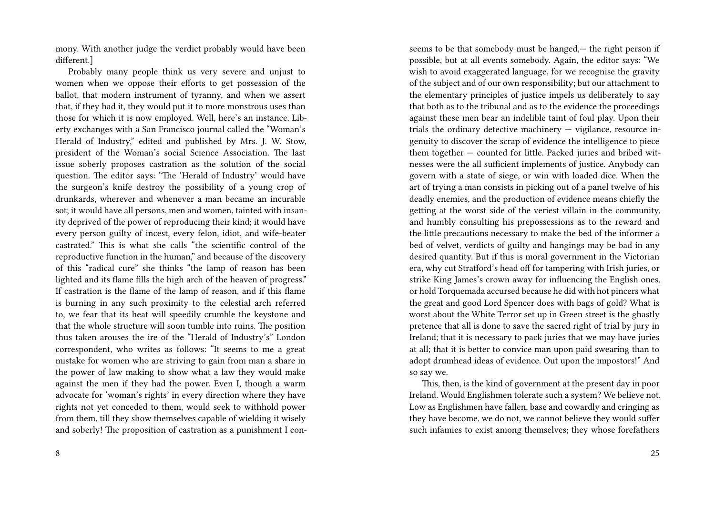mony. With another judge the verdict probably would have been different.]

Probably many people think us very severe and unjust to women when we oppose their efforts to get possession of the ballot, that modern instrument of tyranny, and when we assert that, if they had it, they would put it to more monstrous uses than those for which it is now employed. Well, here's an instance. Liberty exchanges with a San Francisco journal called the "Woman's Herald of Industry," edited and published by Mrs. J. W. Stow, president of the Woman's social Science Association. The last issue soberly proposes castration as the solution of the social question. The editor says: "The 'Herald of Industry' would have the surgeon's knife destroy the possibility of a young crop of drunkards, wherever and whenever a man became an incurable sot; it would have all persons, men and women, tainted with insanity deprived of the power of reproducing their kind; it would have every person guilty of incest, every felon, idiot, and wife-beater castrated." This is what she calls "the scientific control of the reproductive function in the human," and because of the discovery of this "radical cure" she thinks "the lamp of reason has been lighted and its flame fills the high arch of the heaven of progress." If castration is the flame of the lamp of reason, and if this flame is burning in any such proximity to the celestial arch referred to, we fear that its heat will speedily crumble the keystone and that the whole structure will soon tumble into ruins. The position thus taken arouses the ire of the "Herald of Industry's" London correspondent, who writes as follows: "It seems to me a great mistake for women who are striving to gain from man a share in the power of law making to show what a law they would make against the men if they had the power. Even I, though a warm advocate for 'woman's rights' in every direction where they have rights not yet conceded to them, would seek to withhold power from them, till they show themselves capable of wielding it wisely and soberly! The proposition of castration as a punishment I conseems to be that somebody must be hanged,— the right person if possible, but at all events somebody. Again, the editor says: "We wish to avoid exaggerated language, for we recognise the gravity of the subject and of our own responsibility; but our attachment to the elementary principles of justice impels us deliberately to say that both as to the tribunal and as to the evidence the proceedings against these men bear an indelible taint of foul play. Upon their trials the ordinary detective machinery — vigilance, resource ingenuity to discover the scrap of evidence the intelligence to piece them together — counted for little. Packed juries and bribed witnesses were the all sufficient implements of justice. Anybody can govern with a state of siege, or win with loaded dice. When the art of trying a man consists in picking out of a panel twelve of his deadly enemies, and the production of evidence means chiefly the getting at the worst side of the veriest villain in the community, and humbly consulting his prepossessions as to the reward and the little precautions necessary to make the bed of the informer a bed of velvet, verdicts of guilty and hangings may be bad in any desired quantity. But if this is moral government in the Victorian era, why cut Strafford's head off for tampering with Irish juries, or strike King James's crown away for influencing the English ones, or hold Torquemada accursed because he did with hot pincers what the great and good Lord Spencer does with bags of gold? What is worst about the White Terror set up in Green street is the ghastly pretence that all is done to save the sacred right of trial by jury in Ireland; that it is necessary to pack juries that we may have juries at all; that it is better to convice man upon paid swearing than to adopt drumhead ideas of evidence. Out upon the impostors!" And so say we.

This, then, is the kind of government at the present day in poor Ireland. Would Englishmen tolerate such a system? We believe not. Low as Englishmen have fallen, base and cowardly and cringing as they have become, we do not, we cannot believe they would suffer such infamies to exist among themselves; they whose forefathers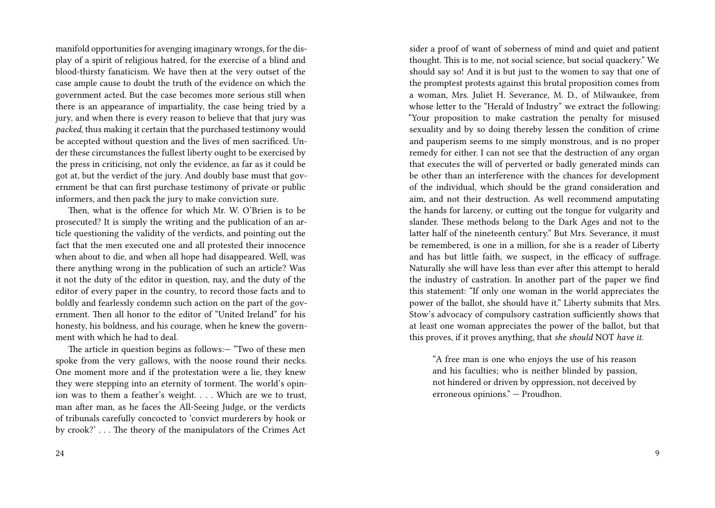manifold opportunities for avenging imaginary wrongs, for the display of a spirit of religious hatred, for the exercise of a blind and blood-thirsty fanaticism. We have then at the very outset of the case ample cause to doubt the truth of the evidence on which the government acted. But the case becomes more serious still when there is an appearance of impartiality, the case being tried by a jury, and when there is every reason to believe that that jury was *packed*, thus making it certain that the purchased testimony would be accepted without question and the lives of men sacrificed. Under these circumstances the fullest liberty ought to be exercised by the press in criticising, not only the evidence, as far as it could be got at, but the verdict of the jury. And doubly base must that government be that can first purchase testimony of private or public informers, and then pack the jury to make conviction sure.

Then, what is the offence for which Mr. W. O'Brien is to be prosecuted? It is simply the writing and the publication of an article questioning the validity of the verdicts, and pointing out the fact that the men executed one and all protested their innocence when about to die, and when all hope had disappeared. Well, was there anything wrong in the publication of such an article? Was it not the duty of thc editor in question, nay, and the duty of the editor of every paper in the country, to record those facts and to boldly and fearlessly condemn such action on the part of the government. Then all honor to the editor of "United Ireland" for his honesty, his boldness, and his courage, when he knew the government with which he had to deal.

The article in question begins as follows:— "Two of these men spoke from the very gallows, with the noose round their necks. One moment more and if the protestation were a lie, they knew they were stepping into an eternity of torment. The world's opinion was to them a feather's weight. . . . Which are we to trust, man after man, as he faces the All-Seeing Judge, or the verdicts of tribunals carefully concocted to 'convict murderers by hook or by crook?' . . . The theory of the manipulators of the Crimes Act sider a proof of want of soberness of mind and quiet and patient thought. This is to me, not social science, but social quackery." We should say so! And it is but just to the women to say that one of the promptest protests against this brutal proposition comes from a woman, Mrs. Juliet H. Severance, M. D., of Milwaukee, from whose letter to the "Herald of Industry" we extract the following: "Your proposition to make castration the penalty for misused sexuality and by so doing thereby lessen the condition of crime and pauperism seems to me simply monstrous, and is no proper remedy for either. I can not see that the destruction of any organ that executes the will of perverted or badly generated minds can be other than an interference with the chances for development of the individual, which should be the grand consideration and aim, and not their destruction. As well recommend amputating the hands for larceny, or cutting out the tongue for vulgarity and slander. These methods belong to the Dark Ages and not to the latter half of the nineteenth century." But Mrs. Severance, it must be remembered, is one in a million, for she is a reader of Liberty and has but little faith, we suspect, in the efficacy of suffrage. Naturally she will have less than ever after this attempt to herald the industry of castration. In another part of the paper we find this statement: "If only one woman in the world appreciates the power of the ballot, she should have it." Liberty submits that Mrs. Stow's advocacy of compulsory castration sufficiently shows that at least one woman appreciates the power of the ballot, but that this proves, if it proves anything, that *she should* NOT *have it.*

"A free man is one who enjoys the use of his reason and his faculties; who is neither blinded by passion, not hindered or driven by oppression, not deceived by erroneous opinions." — Proudhon.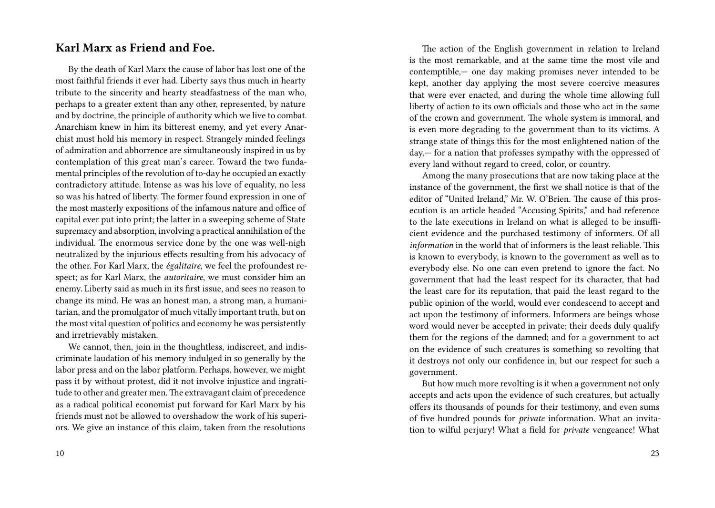## **Karl Marx as Friend and Foe.**

By the death of Karl Marx the cause of labor has lost one of the most faithful friends it ever had. Liberty says thus much in hearty tribute to the sincerity and hearty steadfastness of the man who, perhaps to a greater extent than any other, represented, by nature and by doctrine, the principle of authority which we live to combat. Anarchism knew in him its bitterest enemy, and yet every Anarchist must hold his memory in respect. Strangely minded feelings of admiration and abhorrence are simultaneously inspired in us by contemplation of this great man's career. Toward the two fundamental principles of the revolution of to-day he occupied an exactly contradictory attitude. Intense as was his love of equality, no less so was his hatred of liberty. The former found expression in one of the most masterly expositions of the infamous nature and office of capital ever put into print; the latter in a sweeping scheme of State supremacy and absorption, involving a practical annihilation of the individual. The enormous service done by the one was well-nigh neutralized by the injurious effects resulting from his advocacy of the other. For Karl Marx, the *égalitaire*, we feel the profoundest respect; as for Karl Marx, the *autoritaire*, we must consider him an enemy. Liberty said as much in its first issue, and sees no reason to change its mind. He was an honest man, a strong man, a humanitarian, and the promulgator of much vitally important truth, but on the most vital question of politics and economy he was persistently and irretrievably mistaken.

We cannot, then, join in the thoughtless, indiscreet, and indiscriminate laudation of his memory indulged in so generally by the labor press and on the labor platform. Perhaps, however, we might pass it by without protest, did it not involve injustice and ingratitude to other and greater men.The extravagant claim of precedence as a radical political economist put forward for Karl Marx by his friends must not be allowed to overshadow the work of his superiors. We give an instance of this claim, taken from the resolutions

The action of the English government in relation to Ireland is the most remarkable, and at the same time the most vile and contemptible,— one day making promises never intended to be kept, another day applying the most severe coercive measures that were ever enacted, and during the whole time allowing full liberty of action to its own officials and those who act in the same of the crown and government. The whole system is immoral, and is even more degrading to the government than to its victims. A strange state of things this for the most enlightened nation of the day,— for a nation that professes sympathy with the oppressed of every land without regard to creed, color, or country.

Among the many prosecutions that are now taking place at the instance of the government, the first we shall notice is that of the editor of "United Ireland," Mr. W. O'Brien. The cause of this prosecution is an article headed "Accusing Spirits," and had reference to the late executions in Ireland on what is alleged to be insufficient evidence and the purchased testimony of informers. Of all *information* in the world that of informers is the least reliable. This is known to everybody, is known to the government as well as to everybody else. No one can even pretend to ignore the fact. No government that had the least respect for its character, that had the least care for its reputation, that paid the least regard to the public opinion of the world, would ever condescend to accept and act upon the testimony of informers. Informers are beings whose word would never be accepted in private; their deeds duly qualify them for the regions of the damned; and for a government to act on the evidence of such creatures is something so revolting that it destroys not only our confidence in, but our respect for such a government.

But how much more revolting is it when a government not only accepts and acts upon the evidence of such creatures, but actually offers its thousands of pounds for their testimony, and even sums of five hundred pounds for *private* information. What an invitation to wilful perjury! What a field for *private* vengeance! What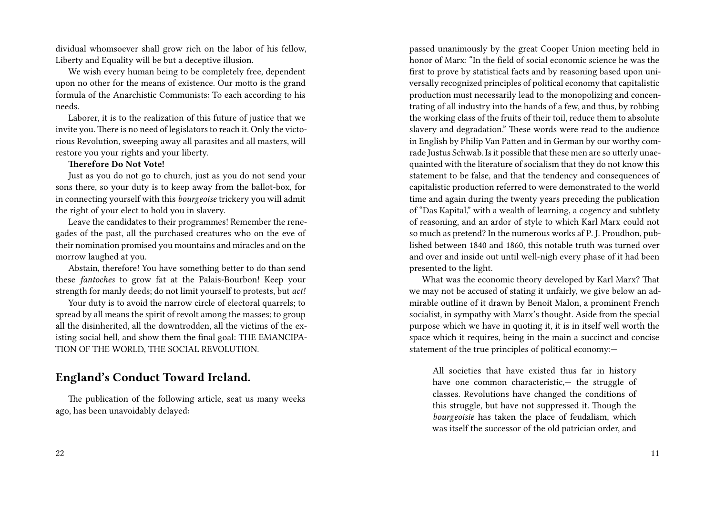dividual whomsoever shall grow rich on the labor of his fellow, Liberty and Equality will be but a deceptive illusion.

We wish every human being to be completely free, dependent upon no other for the means of existence. Our motto is the grand formula of the Anarchistic Communists: To each according to his needs.

Laborer, it is to the realization of this future of justice that we invite you. There is no need of legislators to reach it. Only the victorious Revolution, sweeping away all parasites and all masters, will restore you your rights and your liberty.

### **Therefore Do Not Vote!**

Just as you do not go to church, just as you do not send your sons there, so your duty is to keep away from the ballot-box, for in connecting yourself with this *bourgeoise* trickery you will admit the right of your elect to hold you in slavery.

Leave the candidates to their programmes! Remember the renegades of the past, all the purchased creatures who on the eve of their nomination promised you mountains and miracles and on the morrow laughed at you.

Abstain, therefore! You have something better to do than send these *fantoches* to grow fat at the Palais-Bourbon! Keep your strength for manly deeds; do not limit yourself to protests, but *act!*

Your duty is to avoid the narrow circle of electoral quarrels; to spread by all means the spirit of revolt among the masses; to group all the disinherited, all the downtrodden, all the victims of the existing social hell, and show them the final goal: THE EMANCIPA-TION OF THE WORLD, THE SOCIAL REVOLUTION.

# **England's Conduct Toward Ireland.**

The publication of the following article, seat us many weeks ago, has been unavoidably delayed:

passed unanimously by the great Cooper Union meeting held in honor of Marx: "In the field of social economic science he was the first to prove by statistical facts and by reasoning based upon universally recognized principles of political economy that capitalistic production must necessarily lead to the monopolizing and concentrating of all industry into the hands of a few, and thus, by robbing the working class of the fruits of their toil, reduce them to absolute slavery and degradation." These words were read to the audience in English by Philip Van Patten and in German by our worthy comrade Justus Schwab. Is it possible that these men are so utterly unaequainted with the literature of socialism that they do not know this statement to be false, and that the tendency and consequences of capitalistic production referred to were demonstrated to the world time and again during the twenty years preceding the publication of "Das Kapital," with a wealth of learning, a cogency and subtlety of reasoning, and an ardor of style to which Karl Marx could not so much as pretend? In the numerous works af P. J. Proudhon, published between 1840 and 1860, this notable truth was turned over and over and inside out until well-nigh every phase of it had been presented to the light.

What was the economic theory developed by Karl Marx? That we may not be accused of stating it unfairly, we give below an admirable outline of it drawn by Benoit Malon, a prominent French socialist, in sympathy with Marx's thought. Aside from the special purpose which we have in quoting it, it is in itself well worth the space which it requires, being in the main a succinct and concise statement of the true principles of political economy:—

All societies that have existed thus far in history have one common characteristic,— the struggle of classes. Revolutions have changed the conditions of this struggle, but have not suppressed it. Though the *bourgeoisie* has taken the place of feudalism, which was itself the successor of the old patrician order, and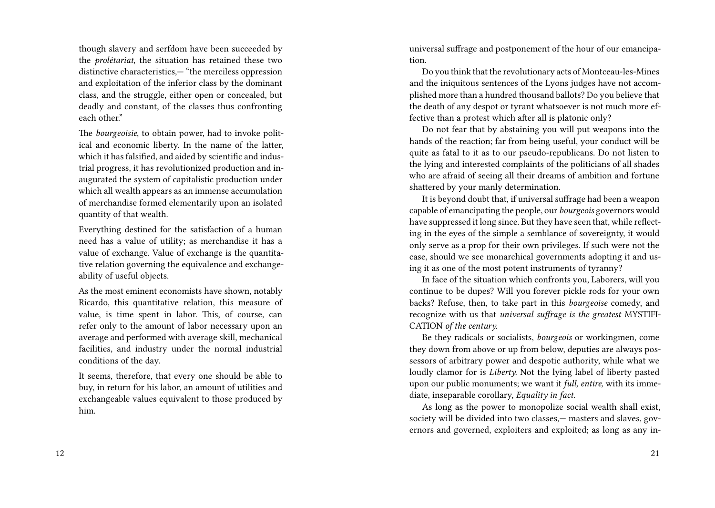though slavery and serfdom have been succeeded by the *prolétariat*, the situation has retained these two distinctive characteristics,— "the merciless oppression and exploitation of the inferior class by the dominant class, and the struggle, either open or concealed, but deadly and constant, of the classes thus confronting each other."

The *bourgeoisie*, to obtain power, had to invoke political and economic liberty. In the name of the latter, which it has falsified, and aided by scientific and industrial progress, it has revolutionized production and inaugurated the system of capitalistic production under which all wealth appears as an immense accumulation of merchandise formed elementarily upon an isolated quantity of that wealth.

Everything destined for the satisfaction of a human need has a value of utility; as merchandise it has a value of exchange. Value of exchange is the quantitative relation governing the equivalence and exchangeability of useful objects.

As the most eminent economists have shown, notably Ricardo, this quantitative relation, this measure of value, is time spent in labor. This, of course, can refer only to the amount of labor necessary upon an average and performed with average skill, mechanical facilities, and industry under the normal industrial conditions of the day.

It seems, therefore, that every one should be able to buy, in return for his labor, an amount of utilities and exchangeable values equivalent to those produced by him.

universal suffrage and postponement of the hour of our emancipation.

Do you think that the revolutionary acts of Montceau-les-Mines and the iniquitous sentences of the Lyons judges have not accomplished more than a hundred thousand ballots? Do you believe that the death of any despot or tyrant whatsoever is not much more effective than a protest which after all is platonic only?

Do not fear that by abstaining you will put weapons into the hands of the reaction; far from being useful, your conduct will be quite as fatal to it as to our pseudo-republicans. Do not listen to the lying and interested complaints of the politicians of all shades who are afraid of seeing all their dreams of ambition and fortune shattered by your manly determination.

It is beyond doubt that, if universal suffrage had been a weapon capable of emancipating the people, our *bourgeois* governors would have suppressed it long since. But they have seen that, while reflecting in the eyes of the simple a semblance of sovereignty, it would only serve as a prop for their own privileges. If such were not the case, should we see monarchical governments adopting it and using it as one of the most potent instruments of tyranny?

In face of the situation which confronts you, Laborers, will you continue to be dupes? Will you forever pickle rods for your own backs? Refuse, then, to take part in this *bourgeoise* comedy, and recognize with us that *universal suffrage is the greatest* MYSTIFI-CATION *of the century.*

Be they radicals or socialists, *bourgeois* or workingmen, come they down from above or up from below, deputies are always possessors of arbitrary power and despotic authority, while what we loudly clamor for is *Liberty.* Not the lying label of liberty pasted upon our public monuments; we want it *full, entire,* with its immediate, inseparable corollary, *Equality in fact.*

As long as the power to monopolize social wealth shall exist, society will be divided into two classes,— masters and slaves, governors and governed, exploiters and exploited; as long as any in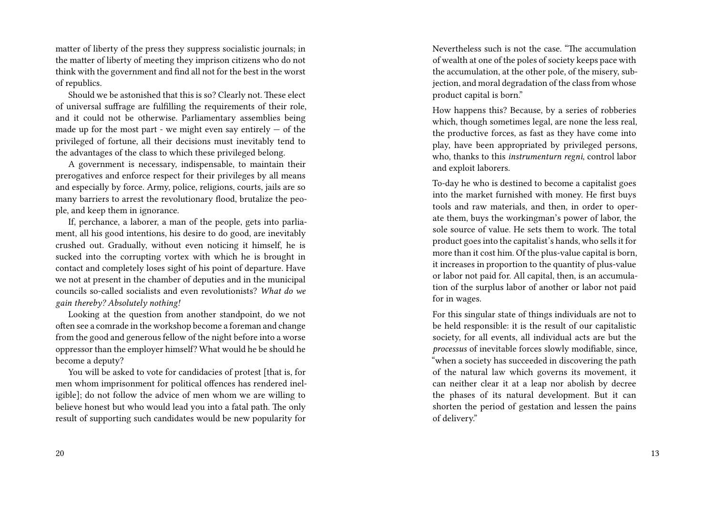matter of liberty of the press they suppress socialistic journals; in the matter of liberty of meeting they imprison citizens who do not think with the government and find all not for the best in the worst of republics.

Should we be astonished that this is so? Clearly not. These elect of universal suffrage are fulfilling the requirements of their role, and it could not be otherwise. Parliamentary assemblies being made up for the most part - we might even say entirely  $-$  of the privileged of fortune, all their decisions must inevitably tend to the advantages of the class to which these privileged belong.

A government is necessary, indispensable, to maintain their prerogatives and enforce respect for their privileges by all means and especially by force. Army, police, religions, courts, jails are so many barriers to arrest the revolutionary flood, brutalize the people, and keep them in ignorance.

If, perchance, a laborer, a man of the people, gets into parliament, all his good intentions, his desire to do good, are inevitably crushed out. Gradually, without even noticing it himself, he is sucked into the corrupting vortex with which he is brought in contact and completely loses sight of his point of departure. Have we not at present in the chamber of deputies and in the municipal councils so-called socialists and even revolutionists? *What do we gain thereby? Absolutely nothing!*

Looking at the question from another standpoint, do we not often see a comrade in the workshop become a foreman and change from the good and generous fellow of the night before into a worse oppressor than the employer himself? What would he be should he become a deputy?

You will be asked to vote for candidacies of protest [that is, for men whom imprisonment for political offences has rendered ineligible]; do not follow the advice of men whom we are willing to believe honest but who would lead you into a fatal path. The only result of supporting such candidates would be new popularity for Nevertheless such is not the case. "The accumulation of wealth at one of the poles of society keeps pace with the accumulation, at the other pole, of the misery, subjection, and moral degradation of the class from whose product capital is born."

How happens this? Because, by a series of robberies which, though sometimes legal, are none the less real, the productive forces, as fast as they have come into play, have been appropriated by privileged persons, who, thanks to this *instrumenturn regni*, control labor and exploit laborers.

To-day he who is destined to become a capitalist goes into the market furnished with money. He first buys tools and raw materials, and then, in order to operate them, buys the workingman's power of labor, the sole source of value. He sets them to work. The total product goes into the capitalist's hands, who sells it for more than it cost him. Of the plus-value capital is born, it increases in proportion to the quantity of plus-value or labor not paid for. All capital, then, is an accumulation of the surplus labor of another or labor not paid for in wages.

For this singular state of things individuals are not to be held responsible: it is the result of our capitalistic society, for all events, all individual acts are but the *processus* of inevitable forces slowly modifiable, since, "when a society has succeeded in discovering the path of the natural law which governs its movement, it can neither clear it at a leap nor abolish by decree the phases of its natural development. But it can shorten the period of gestation and lessen the pains of delivery."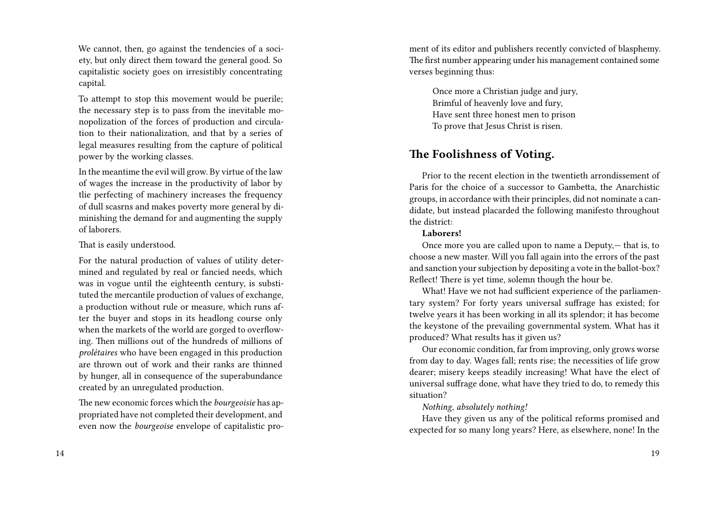We cannot, then, go against the tendencies of a society, but only direct them toward the general good. So capitalistic society goes on irresistibly concentrating capital.

To attempt to stop this movement would be puerile; the necessary step is to pass from the inevitable monopolization of the forces of production and circulation to their nationalization, and that by a series of legal measures resulting from the capture of political power by the working classes.

In the meantime the evil will grow. By virtue of the law of wages the increase in the productivity of labor by tlie perfecting of machinery increases the frequency of dull scasrns and makes poverty more general by diminishing the demand for and augmenting the supply of laborers.

### That is easily understood.

For the natural production of values of utility determined and regulated by real or fancied needs, which was in vogue until the eighteenth century, is substituted the mercantile production of values of exchange, a production without rule or measure, which runs after the buyer and stops in its headlong course only when the markets of the world are gorged to overflowing. Then millions out of the hundreds of millions of *prolétaires* who have been engaged in this production are thrown out of work and their ranks are thinned by hunger, all in consequence of the superabundance created by an unregulated production.

The new economic forces which the *bourgeoisie* has appropriated have not completed their development, and even now the *bourgeoise* envelope of capitalistic pro-

ment of its editor and publishers recently convicted of blasphemy. The first number appearing under his management contained some verses beginning thus:

Once more a Christian judge and jury, Brimful of heavenly love and fury, Have sent three honest men to prison To prove that Jesus Christ is risen.

# **The Foolishness of Voting.**

Prior to the recent election in the twentieth arrondissement of Paris for the choice of a successor to Gambetta, the Anarchistic groups, in accordance with their principles, did not nominate a candidate, but instead placarded the following manifesto throughout the district:

#### **Laborers!**

Once more you are called upon to name a Deputy,— that is, to choose a new master. Will you fall again into the errors of the past and sanction your subjection by depositing a vote in the ballot-box? Reflect! There is yet time, solemn though the hour be.

What! Have we not had sufficient experience of the parliamentary system? For forty years universal suffrage has existed; for twelve years it has been working in all its splendor; it has become the keystone of the prevailing governmental system. What has it produced? What results has it given us?

Our economic condition, far from improving, only grows worse from day to day. Wages fall; rents rise; the necessities of life grow dearer; misery keeps steadily increasing! What have the elect of universal suffrage done, what have they tried to do, to remedy this situation?

*Nothing, absolutely nothing!*

Have they given us any of the political reforms promised and expected for so many long years? Here, as elsewhere, none! In the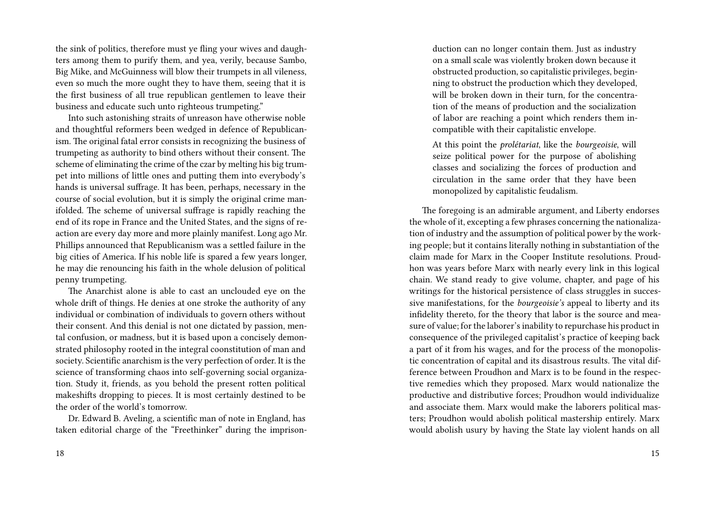the sink of politics, therefore must ye fling your wives and daughters among them to purify them, and yea, verily, because Sambo, Big Mike, and McGuinness will blow their trumpets in all vileness, even so much the more ought they to have them, seeing that it is the first business of all true republican gentlemen to leave their business and educate such unto righteous trumpeting."

Into such astonishing straits of unreason have otherwise noble and thoughtful reformers been wedged in defence of Republicanism. The original fatal error consists in recognizing the business of trumpeting as authority to bind others without their consent. The scheme of eliminating the crime of the czar by melting his big trumpet into millions of little ones and putting them into everybody's hands is universal suffrage. It has been, perhaps, necessary in the course of social evolution, but it is simply the original crime manifolded. The scheme of universal suffrage is rapidly reaching the end of its rope in France and the United States, and the signs of reaction are every day more and more plainly manifest. Long ago Mr. Phillips announced that Republicanism was a settled failure in the big cities of America. If his noble life is spared a few years longer, he may die renouncing his faith in the whole delusion of political penny trumpeting.

The Anarchist alone is able to cast an unclouded eye on the whole drift of things. He denies at one stroke the authority of any individual or combination of individuals to govern others without their consent. And this denial is not one dictated by passion, mental confusion, or madness, but it is based upon a concisely demonstrated philosophy rooted in the integral coonstitution of man and society. Scientific anarchism is the very perfection of order. It is the science of transforming chaos into self-governing social organization. Study it, friends, as you behold the present rotten political makeshifts dropping to pieces. It is most certainly destined to be the order of the world's tomorrow.

Dr. Edward B. Aveling, a scientific man of note in England, has taken editorial charge of the "Freethinker" during the imprisonduction can no longer contain them. Just as industry on a small scale was violently broken down because it obstructed production, so capitalistic privileges, beginning to obstruct the production which they developed, will be broken down in their turn, for the concentration of the means of production and the socialization of labor are reaching a point which renders them incompatible with their capitalistic envelope.

At this point the *prolétariat*, like the *bourgeoisie*, will seize political power for the purpose of abolishing classes and socializing the forces of production and circulation in the same order that they have been monopolized by capitalistic feudalism.

The foregoing is an admirable argument, and Liberty endorses the whole of it, excepting a few phrases concerning the nationalization of industry and the assumption of political power by the working people; but it contains literally nothing in substantiation of the claim made for Marx in the Cooper Institute resolutions. Proudhon was years before Marx with nearly every link in this logical chain. We stand ready to give volume, chapter, and page of his writings for the historical persistence of class struggles in successive manifestations, for the *bourgeoisie's* appeal to liberty and its infidelity thereto, for the theory that labor is the source and measure of value; for the laborer's inability to repurchase his product in consequence of the privileged capitalist's practice of keeping back a part of it from his wages, and for the process of the monopolistic concentration of capital and its disastrous results. The vital difference between Proudhon and Marx is to be found in the respective remedies which they proposed. Marx would nationalize the productive and distributive forces; Proudhon would individualize and associate them. Marx would make the laborers political masters; Proudhon would abolish political mastership entirely. Marx would abolish usury by having the State lay violent hands on all